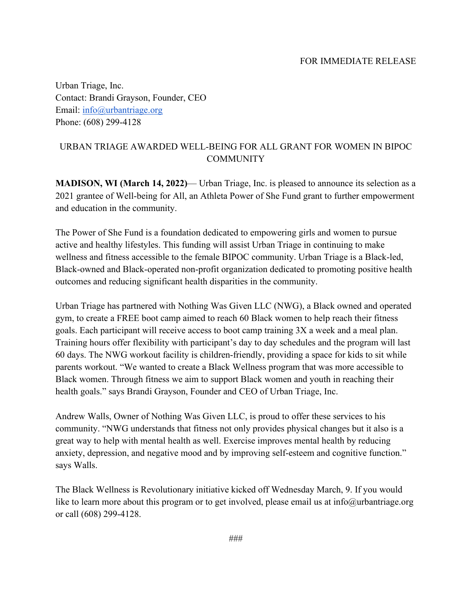Urban Triage, Inc. Contact: Brandi Grayson, Founder, CEO Email: [info@urbantriage.org](mailto:info@urbantriage.org) Phone: (608) 299-4128

## URBAN TRIAGE AWARDED WELL-BEING FOR ALL GRANT FOR WOMEN IN BIPOC COMMUNITY

**MADISON, WI (March 14, 2022)**— Urban Triage, Inc. is pleased to announce its selection as a 2021 grantee of Well-being for All, an Athleta Power of She Fund grant to further empowerment and education in the community.

The Power of She Fund is a foundation dedicated to empowering girls and women to pursue active and healthy lifestyles. This funding will assist Urban Triage in continuing to make wellness and fitness accessible to the female BIPOC community. Urban Triage is a Black-led, Black-owned and Black-operated non-profit organization dedicated to promoting positive health outcomes and reducing significant health disparities in the community.

Urban Triage has partnered with Nothing Was Given LLC (NWG), a Black owned and operated gym, to create a FREE boot camp aimed to reach 60 Black women to help reach their fitness goals. Each participant will receive access to boot camp training 3X a week and a meal plan. Training hours offer flexibility with participant's day to day schedules and the program will last 60 days. The NWG workout facility is children-friendly, providing a space for kids to sit while parents workout. "We wanted to create a Black Wellness program that was more accessible to Black women. Through fitness we aim to support Black women and youth in reaching their health goals." says Brandi Grayson, Founder and CEO of Urban Triage, Inc.

Andrew Walls, Owner of Nothing Was Given LLC, is proud to offer these services to his community. "NWG understands that fitness not only provides physical changes but it also is a great way to help with mental health as well. Exercise improves mental health by reducing anxiety, depression, and negative mood and by improving self-esteem and cognitive function." says Walls.

The Black Wellness is Revolutionary initiative kicked off Wednesday March, 9. If you would like to learn more about this program or to get involved, please email us at info@urbantriage.org or call (608) 299-4128.